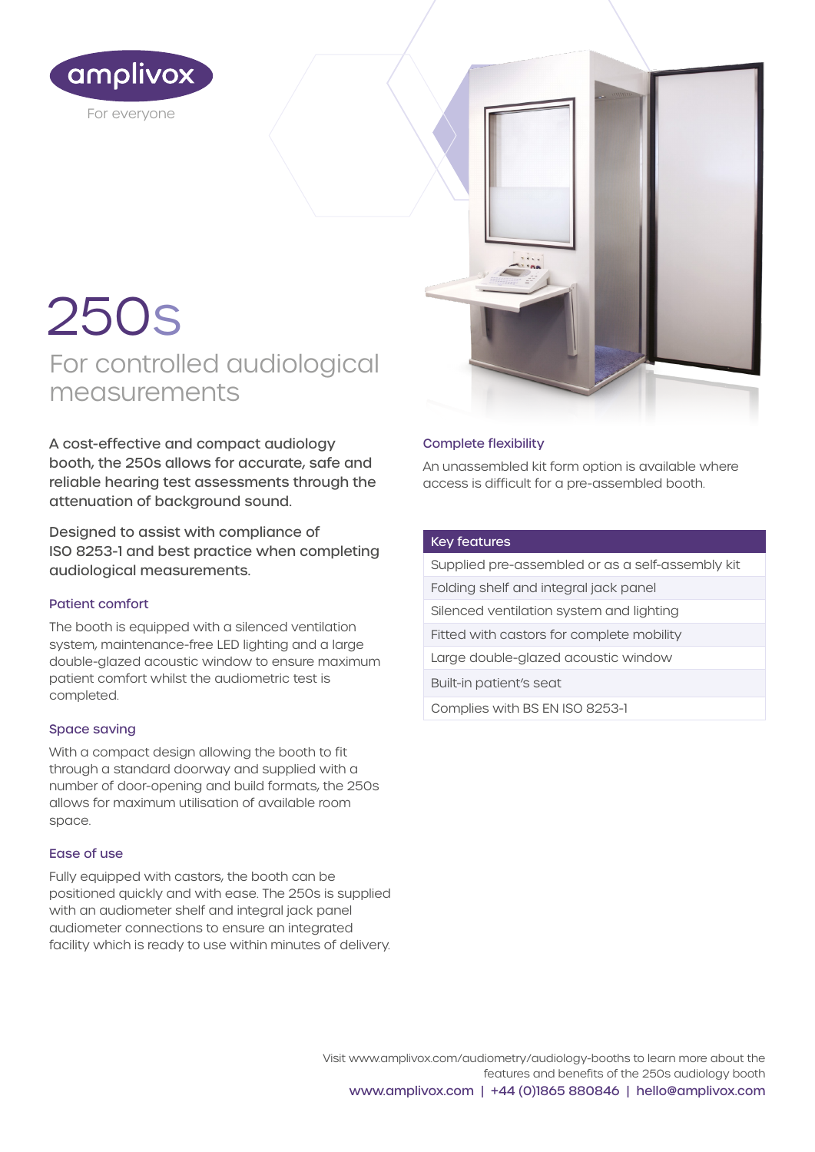

# 250s

For controlled audiological measurements

A cost-effective and compact audiology booth, the 250s allows for accurate, safe and reliable hearing test assessments through the attenuation of background sound.

Designed to assist with compliance of ISO 8253-1 and best practice when completing audiological measurements.

#### Patient comfort

The booth is equipped with a silenced ventilation system, maintenance-free LED lighting and a large double-glazed acoustic window to ensure maximum patient comfort whilst the audiometric test is completed.

#### Space saving

With a compact design allowing the booth to fit through a standard doorway and supplied with a number of door-opening and build formats, the 250s allows for maximum utilisation of available room space.

#### Ease of use

Fully equipped with castors, the booth can be positioned quickly and with ease. The 250s is supplied with an audiometer shelf and integral jack panel audiometer connections to ensure an integrated facility which is ready to use within minutes of delivery.

### Complete flexibility

An unassembled kit form option is available where access is difficult for a pre-assembled booth.

#### Key features

Supplied pre-assembled or as a self-assembly kit

Folding shelf and integral jack panel

Silenced ventilation system and lighting

Fitted with castors for complete mobility

Large double-glazed acoustic window

Built-in patient's seat

Complies with BS EN ISO 8253-1